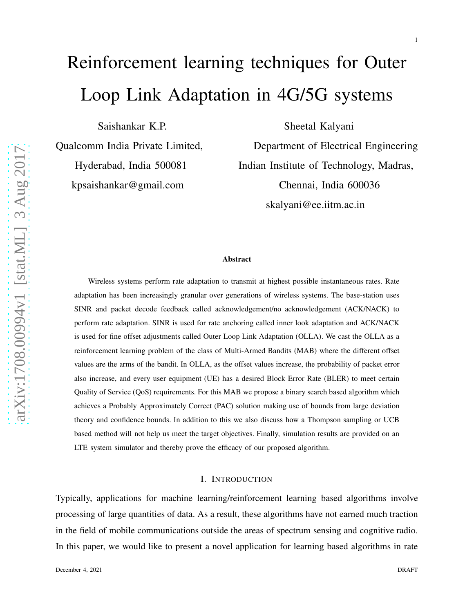# Reinforcement learning techniques for Outer Loop Link Adaptation in 4G/5G systems

Saishankar K.P. Sheetal Kalyani

Qualcomm India Private Limited, Department of Electrical Engineering Hyderabad, India 500081 Indian Institute of Technology, Madras, kpsaishankar@gmail.com Chennai, India 600036 skalyani@ee.iitm.ac.in

#### Abstract

Wireless systems perform rate adaptation to transmit at highest possible instantaneous rates. Rate adaptation has been increasingly granular over generations of wireless systems. The base-station uses SINR and packet decode feedback called acknowledgement/no acknowledgement (ACK/NACK) to perform rate adaptation. SINR is used for rate anchoring called inner look adaptation and ACK/NACK is used for fine offset adjustments called Outer Loop Link Adaptation (OLLA). We cast the OLLA as a reinforcement learning problem of the class of Multi-Armed Bandits (MAB) where the different offset values are the arms of the bandit. In OLLA, as the offset values increase, the probability of packet error also increase, and every user equipment (UE) has a desired Block Error Rate (BLER) to meet certain Quality of Service (QoS) requirements. For this MAB we propose a binary search based algorithm which achieves a Probably Approximately Correct (PAC) solution making use of bounds from large deviation theory and confidence bounds. In addition to this we also discuss how a Thompson sampling or UCB based method will not help us meet the target objectives. Finally, simulation results are provided on an LTE system simulator and thereby prove the efficacy of our proposed algorithm.

### I. INTRODUCTION

Typically, applications for machine learning/reinforcement learning based algorithms involve processing of large quantities of data. As a result, these algorithms have not earned much traction in the field of mobile communications outside the areas of spectrum sensing and cognitive radio. In this paper, we would like to present a novel application for learning based algorithms in rate

1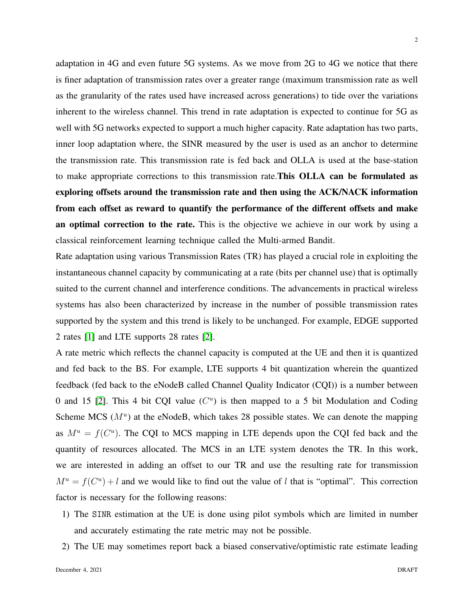adaptation in 4G and even future 5G systems. As we move from 2G to 4G we notice that there is finer adaptation of transmission rates over a greater range (maximum transmission rate as well as the granularity of the rates used have increased across generations) to tide over the variations inherent to the wireless channel. This trend in rate adaptation is expected to continue for 5G as well with 5G networks expected to support a much higher capacity. Rate adaptation has two parts, inner loop adaptation where, the SINR measured by the user is used as an anchor to determine the transmission rate. This transmission rate is fed back and OLLA is used at the base-station to make appropriate corrections to this transmission rate.This OLLA can be formulated as exploring offsets around the transmission rate and then using the ACK/NACK information from each offset as reward to quantify the performance of the different offsets and make an optimal correction to the rate. This is the objective we achieve in our work by using a classical reinforcement learning technique called the Multi-armed Bandit.

Rate adaptation using various Transmission Rates (TR) has played a crucial role in exploiting the instantaneous channel capacity by communicating at a rate (bits per channel use) that is optimally suited to the current channel and interference conditions. The advancements in practical wireless systems has also been characterized by increase in the number of possible transmission rates supported by the system and this trend is likely to be unchanged. For example, EDGE supported 2 rates [\[1\]](#page-24-0) and LTE supports 28 rates [\[2\]](#page-24-1).

A rate metric which reflects the channel capacity is computed at the UE and then it is quantized and fed back to the BS. For example, LTE supports 4 bit quantization wherein the quantized feedback (fed back to the eNodeB called Channel Quality Indicator (CQI)) is a number between 0 and 15 [\[2\]](#page-24-1). This 4 bit CQI value  $(C<sup>u</sup>)$  is then mapped to a 5 bit Modulation and Coding Scheme MCS  $(M^u)$  at the eNodeB, which takes 28 possible states. We can denote the mapping as  $M^u = f(C^u)$ . The CQI to MCS mapping in LTE depends upon the CQI fed back and the quantity of resources allocated. The MCS in an LTE system denotes the TR. In this work, we are interested in adding an offset to our TR and use the resulting rate for transmission  $M^u = f(C^u) + l$  and we would like to find out the value of l that is "optimal". This correction factor is necessary for the following reasons:

- 1) The SINR estimation at the UE is done using pilot symbols which are limited in number and accurately estimating the rate metric may not be possible.
- 2) The UE may sometimes report back a biased conservative/optimistic rate estimate leading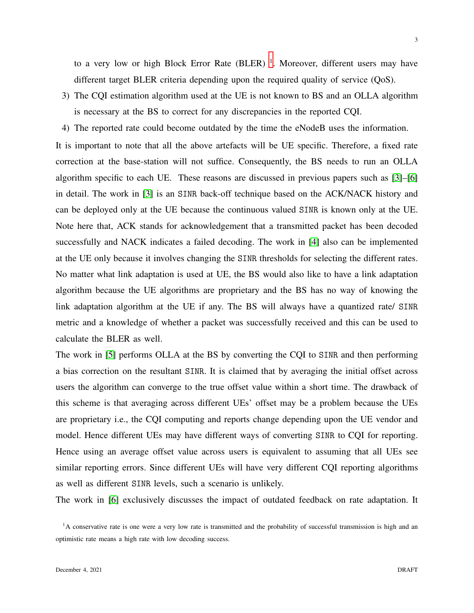to a very low or high Block Error Rate (BLER)<sup>[1](#page-2-0)</sup>. Moreover, different users may have different target BLER criteria depending upon the required quality of service (QoS).

3) The CQI estimation algorithm used at the UE is not known to BS and an OLLA algorithm is necessary at the BS to correct for any discrepancies in the reported CQI.

4) The reported rate could become outdated by the time the eNodeB uses the information.

It is important to note that all the above artefacts will be UE specific. Therefore, a fixed rate correction at the base-station will not suffice. Consequently, the BS needs to run an OLLA algorithm specific to each UE. These reasons are discussed in previous papers such as [\[3\]](#page-24-2)–[\[6\]](#page-24-3) in detail. The work in [\[3\]](#page-24-2) is an SINR back-off technique based on the ACK/NACK history and can be deployed only at the UE because the continuous valued SINR is known only at the UE. Note here that, ACK stands for acknowledgement that a transmitted packet has been decoded successfully and NACK indicates a failed decoding. The work in [\[4\]](#page-24-4) also can be implemented at the UE only because it involves changing the SINR thresholds for selecting the different rates. No matter what link adaptation is used at UE, the BS would also like to have a link adaptation algorithm because the UE algorithms are proprietary and the BS has no way of knowing the link adaptation algorithm at the UE if any. The BS will always have a quantized rate/ SINR metric and a knowledge of whether a packet was successfully received and this can be used to calculate the BLER as well.

The work in [\[5\]](#page-24-5) performs OLLA at the BS by converting the CQI to SINR and then performing a bias correction on the resultant SINR. It is claimed that by averaging the initial offset across users the algorithm can converge to the true offset value within a short time. The drawback of this scheme is that averaging across different UEs' offset may be a problem because the UEs are proprietary i.e., the CQI computing and reports change depending upon the UE vendor and model. Hence different UEs may have different ways of converting SINR to CQI for reporting. Hence using an average offset value across users is equivalent to assuming that all UEs see similar reporting errors. Since different UEs will have very different CQI reporting algorithms as well as different SINR levels, such a scenario is unlikely.

The work in [\[6\]](#page-24-3) exclusively discusses the impact of outdated feedback on rate adaptation. It

<span id="page-2-0"></span><sup>&</sup>lt;sup>1</sup>A conservative rate is one were a very low rate is transmitted and the probability of successful transmission is high and an optimistic rate means a high rate with low decoding success.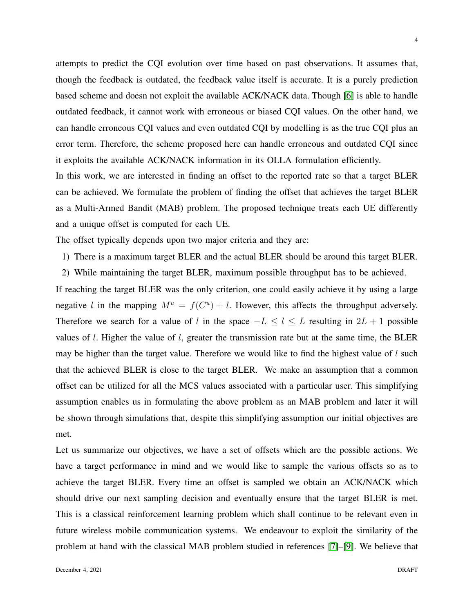attempts to predict the CQI evolution over time based on past observations. It assumes that, though the feedback is outdated, the feedback value itself is accurate. It is a purely prediction based scheme and doesn not exploit the available ACK/NACK data. Though [\[6\]](#page-24-3) is able to handle outdated feedback, it cannot work with erroneous or biased CQI values. On the other hand, we can handle erroneous CQI values and even outdated CQI by modelling is as the true CQI plus an error term. Therefore, the scheme proposed here can handle erroneous and outdated CQI since it exploits the available ACK/NACK information in its OLLA formulation efficiently.

In this work, we are interested in finding an offset to the reported rate so that a target BLER can be achieved. We formulate the problem of finding the offset that achieves the target BLER as a Multi-Armed Bandit (MAB) problem. The proposed technique treats each UE differently and a unique offset is computed for each UE.

The offset typically depends upon two major criteria and they are:

- 1) There is a maximum target BLER and the actual BLER should be around this target BLER.
- 2) While maintaining the target BLER, maximum possible throughput has to be achieved.

If reaching the target BLER was the only criterion, one could easily achieve it by using a large negative l in the mapping  $M^u = f(C^u) + l$ . However, this affects the throughput adversely. Therefore we search for a value of l in the space  $-L \leq l \leq L$  resulting in  $2L + 1$  possible values of l. Higher the value of l, greater the transmission rate but at the same time, the BLER may be higher than the target value. Therefore we would like to find the highest value of  $l$  such that the achieved BLER is close to the target BLER. We make an assumption that a common offset can be utilized for all the MCS values associated with a particular user. This simplifying assumption enables us in formulating the above problem as an MAB problem and later it will be shown through simulations that, despite this simplifying assumption our initial objectives are met.

Let us summarize our objectives, we have a set of offsets which are the possible actions. We have a target performance in mind and we would like to sample the various offsets so as to achieve the target BLER. Every time an offset is sampled we obtain an ACK/NACK which should drive our next sampling decision and eventually ensure that the target BLER is met. This is a classical reinforcement learning problem which shall continue to be relevant even in future wireless mobile communication systems. We endeavour to exploit the similarity of the problem at hand with the classical MAB problem studied in references [\[7\]](#page-24-6)–[\[9\]](#page-24-7). We believe that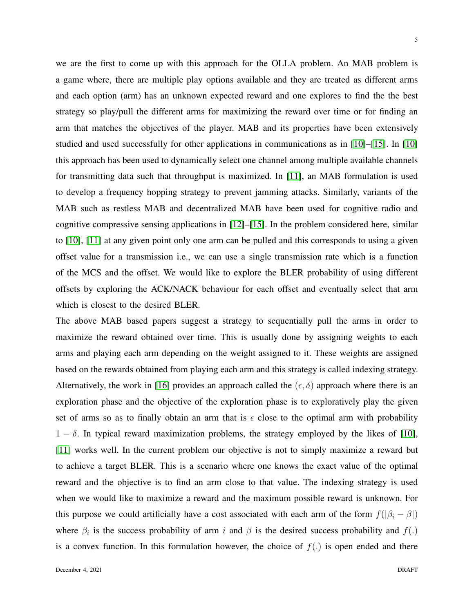we are the first to come up with this approach for the OLLA problem. An MAB problem is a game where, there are multiple play options available and they are treated as different arms and each option (arm) has an unknown expected reward and one explores to find the the best strategy so play/pull the different arms for maximizing the reward over time or for finding an arm that matches the objectives of the player. MAB and its properties have been extensively studied and used successfully for other applications in communications as in [\[10\]](#page-24-8)–[\[15\]](#page-24-9). In [\[10\]](#page-24-8) this approach has been used to dynamically select one channel among multiple available channels for transmitting data such that throughput is maximized. In [\[11\]](#page-24-10), an MAB formulation is used to develop a frequency hopping strategy to prevent jamming attacks. Similarly, variants of the MAB such as restless MAB and decentralized MAB have been used for cognitive radio and cognitive compressive sensing applications in  $[12]$ – $[15]$ . In the problem considered here, similar to [\[10\]](#page-24-8), [\[11\]](#page-24-10) at any given point only one arm can be pulled and this corresponds to using a given offset value for a transmission i.e., we can use a single transmission rate which is a function of the MCS and the offset. We would like to explore the BLER probability of using different offsets by exploring the ACK/NACK behaviour for each offset and eventually select that arm which is closest to the desired BLER.

The above MAB based papers suggest a strategy to sequentially pull the arms in order to maximize the reward obtained over time. This is usually done by assigning weights to each arms and playing each arm depending on the weight assigned to it. These weights are assigned based on the rewards obtained from playing each arm and this strategy is called indexing strategy. Alternatively, the work in [\[16\]](#page-24-12) provides an approach called the  $(\epsilon, \delta)$  approach where there is an exploration phase and the objective of the exploration phase is to exploratively play the given set of arms so as to finally obtain an arm that is  $\epsilon$  close to the optimal arm with probability  $1 - \delta$ . In typical reward maximization problems, the strategy employed by the likes of [\[10\]](#page-24-8), [\[11\]](#page-24-10) works well. In the current problem our objective is not to simply maximize a reward but to achieve a target BLER. This is a scenario where one knows the exact value of the optimal reward and the objective is to find an arm close to that value. The indexing strategy is used when we would like to maximize a reward and the maximum possible reward is unknown. For this purpose we could artificially have a cost associated with each arm of the form  $f(|\beta_i - \beta|)$ where  $\beta_i$  is the success probability of arm i and  $\beta$  is the desired success probability and  $f(.)$ is a convex function. In this formulation however, the choice of  $f(.)$  is open ended and there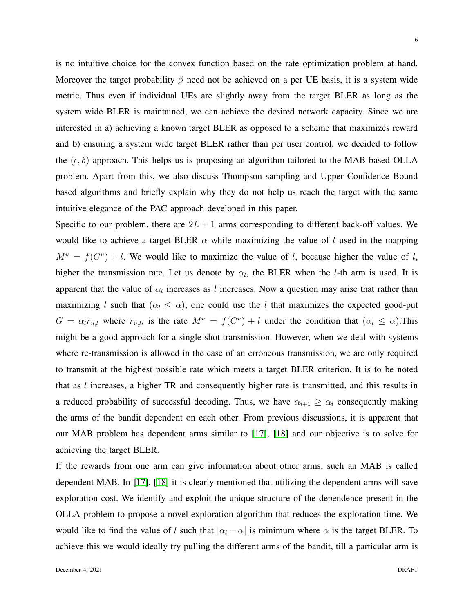is no intuitive choice for the convex function based on the rate optimization problem at hand. Moreover the target probability  $\beta$  need not be achieved on a per UE basis, it is a system wide metric. Thus even if individual UEs are slightly away from the target BLER as long as the system wide BLER is maintained, we can achieve the desired network capacity. Since we are interested in a) achieving a known target BLER as opposed to a scheme that maximizes reward and b) ensuring a system wide target BLER rather than per user control, we decided to follow the  $(\epsilon, \delta)$  approach. This helps us is proposing an algorithm tailored to the MAB based OLLA problem. Apart from this, we also discuss Thompson sampling and Upper Confidence Bound based algorithms and briefly explain why they do not help us reach the target with the same intuitive elegance of the PAC approach developed in this paper.

Specific to our problem, there are  $2L + 1$  arms corresponding to different back-off values. We would like to achieve a target BLER  $\alpha$  while maximizing the value of l used in the mapping  $M^u = f(C^u) + l$ . We would like to maximize the value of l, because higher the value of l, higher the transmission rate. Let us denote by  $\alpha_l$ , the BLER when the *l*-th arm is used. It is apparent that the value of  $\alpha_l$  increases as l increases. Now a question may arise that rather than maximizing l such that  $(\alpha_l \leq \alpha)$ , one could use the l that maximizes the expected good-put  $G = \alpha_l r_{u,l}$  where  $r_{u,l}$ , is the rate  $M^u = f(C^u) + l$  under the condition that  $(\alpha_l \leq \alpha)$ . This might be a good approach for a single-shot transmission. However, when we deal with systems where re-transmission is allowed in the case of an erroneous transmission, we are only required to transmit at the highest possible rate which meets a target BLER criterion. It is to be noted that as l increases, a higher TR and consequently higher rate is transmitted, and this results in a reduced probability of successful decoding. Thus, we have  $\alpha_{i+1} \geq \alpha_i$  consequently making the arms of the bandit dependent on each other. From previous discussions, it is apparent that our MAB problem has dependent arms similar to [\[17\]](#page-25-0), [\[18\]](#page-25-1) and our objective is to solve for achieving the target BLER.

If the rewards from one arm can give information about other arms, such an MAB is called dependent MAB. In [\[17\]](#page-25-0), [\[18\]](#page-25-1) it is clearly mentioned that utilizing the dependent arms will save exploration cost. We identify and exploit the unique structure of the dependence present in the OLLA problem to propose a novel exploration algorithm that reduces the exploration time. We would like to find the value of l such that  $|\alpha_l - \alpha|$  is minimum where  $\alpha$  is the target BLER. To achieve this we would ideally try pulling the different arms of the bandit, till a particular arm is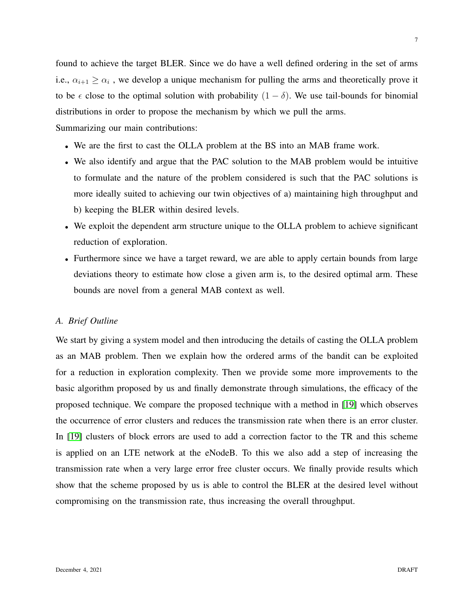found to achieve the target BLER. Since we do have a well defined ordering in the set of arms i.e.,  $\alpha_{i+1} \geq \alpha_i$ , we develop a unique mechanism for pulling the arms and theoretically prove it to be  $\epsilon$  close to the optimal solution with probability  $(1 - \delta)$ . We use tail-bounds for binomial distributions in order to propose the mechanism by which we pull the arms. Summarizing our main contributions:

- We are the first to cast the OLLA problem at the BS into an MAB frame work.
- We also identify and argue that the PAC solution to the MAB problem would be intuitive to formulate and the nature of the problem considered is such that the PAC solutions is more ideally suited to achieving our twin objectives of a) maintaining high throughput and b) keeping the BLER within desired levels.
- We exploit the dependent arm structure unique to the OLLA problem to achieve significant reduction of exploration.
- Furthermore since we have a target reward, we are able to apply certain bounds from large deviations theory to estimate how close a given arm is, to the desired optimal arm. These bounds are novel from a general MAB context as well.

## *A. Brief Outline*

We start by giving a system model and then introducing the details of casting the OLLA problem as an MAB problem. Then we explain how the ordered arms of the bandit can be exploited for a reduction in exploration complexity. Then we provide some more improvements to the basic algorithm proposed by us and finally demonstrate through simulations, the efficacy of the proposed technique. We compare the proposed technique with a method in [\[19\]](#page-25-2) which observes the occurrence of error clusters and reduces the transmission rate when there is an error cluster. In [\[19\]](#page-25-2) clusters of block errors are used to add a correction factor to the TR and this scheme is applied on an LTE network at the eNodeB. To this we also add a step of increasing the transmission rate when a very large error free cluster occurs. We finally provide results which show that the scheme proposed by us is able to control the BLER at the desired level without compromising on the transmission rate, thus increasing the overall throughput.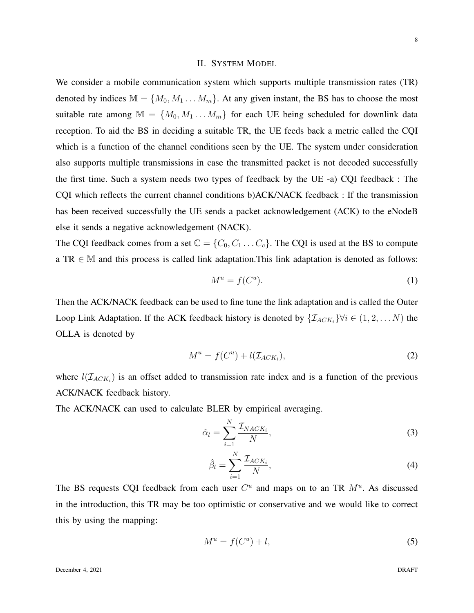# II. SYSTEM MODEL

We consider a mobile communication system which supports multiple transmission rates (TR) denoted by indices  $\mathbb{M} = \{M_0, M_1 \dots M_m\}$ . At any given instant, the BS has to choose the most suitable rate among  $\mathbb{M} = \{M_0, M_1 \dots M_m\}$  for each UE being scheduled for downlink data reception. To aid the BS in deciding a suitable TR, the UE feeds back a metric called the CQI which is a function of the channel conditions seen by the UE. The system under consideration also supports multiple transmissions in case the transmitted packet is not decoded successfully the first time. Such a system needs two types of feedback by the UE -a) CQI feedback : The CQI which reflects the current channel conditions b)ACK/NACK feedback : If the transmission has been received successfully the UE sends a packet acknowledgement (ACK) to the eNodeB else it sends a negative acknowledgement (NACK).

The CQI feedback comes from a set  $\mathbb{C} = \{C_0, C_1 \dots C_c\}$ . The CQI is used at the BS to compute a TR  $\in$  M and this process is called link adaptation. This link adaptation is denoted as follows:

$$
M^u = f(C^u). \tag{1}
$$

Then the ACK/NACK feedback can be used to fine tune the link adaptation and is called the Outer Loop Link Adaptation. If the ACK feedback history is denoted by  $\{\mathcal{I}_{ACK_i}\}\forall i \in (1, 2, \dots N)$  the OLLA is denoted by

$$
M^u = f(C^u) + l(\mathcal{I}_{ACK_i}),\tag{2}
$$

where  $l(\mathcal{I}_{ACK_i})$  is an offset added to transmission rate index and is a function of the previous ACK/NACK feedback history.

The ACK/NACK can used to calculate BLER by empirical averaging.

$$
\hat{\alpha}_l = \sum_{i=1}^N \frac{\mathcal{I}_{NACK_i}}{N},\tag{3}
$$

<span id="page-7-0"></span>
$$
\hat{\beta}_l = \sum_{i=1}^N \frac{\mathcal{I}_{ACK_i}}{N},\tag{4}
$$

The BS requests CQI feedback from each user  $C<sup>u</sup>$  and maps on to an TR  $M<sup>u</sup>$ . As discussed in the introduction, this TR may be too optimistic or conservative and we would like to correct this by using the mapping:

<span id="page-7-1"></span>
$$
M^u = f(C^u) + l,\tag{5}
$$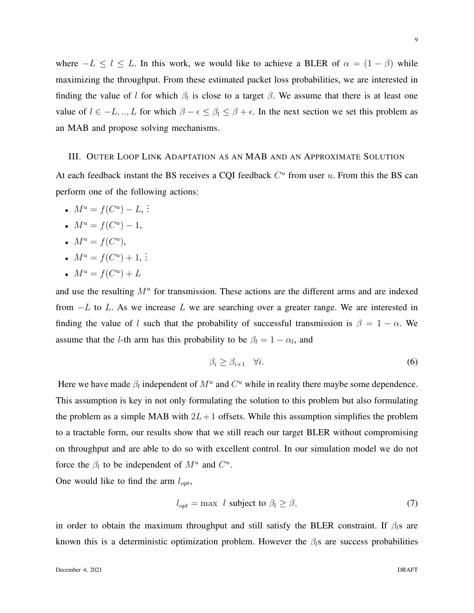where  $-L \leq l \leq L$ . In this work, we would like to achieve a BLER of  $\alpha = (1 - \beta)$  while maximizing the throughput. From these estimated packet loss probabilities, we are interested in finding the value of l for which  $\beta_l$  is close to a target  $\beta$ . We assume that there is at least one value of  $l \in -L, ..., L$  for which  $\beta - \epsilon \leq \beta_l \leq \beta + \epsilon$ . In the next section we set this problem as an MAB and propose solving mechanisms.

#### III. OUTER LOOP LINK ADAPTATION AS AN MAB AND AN APPROXIMATE SOLUTION

At each feedback instant the BS receives a CQI feedback  $C<sup>u</sup>$  from user u. From this the BS can perform one of the following actions:

- $M^u = f(C^u) L$ , :
- $M^u = f(C^u) 1$ ,

• 
$$
M^u = f(C^u),
$$

- $M^u = f(C^u) + 1$ , . . .
- $M^u = f(C^u) + L$

and use the resulting  $M<sup>u</sup>$  for transmission. These actions are the different arms and are indexed from  $-L$  to L. As we increase L we are searching over a greater range. We are interested in finding the value of l such that the probability of successful transmission is  $\beta = 1 - \alpha$ . We assume that the *l*-th arm has this probability to be  $\beta_l = 1 - \alpha_l$ , and

<span id="page-8-0"></span>
$$
\beta_i \ge \beta_{i+1} \quad \forall i. \tag{6}
$$

Here we have made  $\beta_l$  independent of  $M^u$  and  $C^u$  while in reality there maybe some dependence. This assumption is key in not only formulating the solution to this problem but also formulating the problem as a simple MAB with  $2L+1$  offsets. While this assumption simplifies the problem to a tractable form, our results show that we still reach our target BLER without compromising on throughput and are able to do so with excellent control. In our simulation model we do not force the  $\beta_l$  to be independent of  $M^u$  and  $C^u$ .

One would like to find the arm  $l_{opt}$ ,

$$
l_{opt} = \max \ l \text{ subject to } \beta_l \ge \beta,
$$
\n<sup>(7)</sup>

in order to obtain the maximum throughput and still satisfy the BLER constraint. If  $\beta_l$ s are known this is a deterministic optimization problem. However the  $\beta_l$ s are success probabilities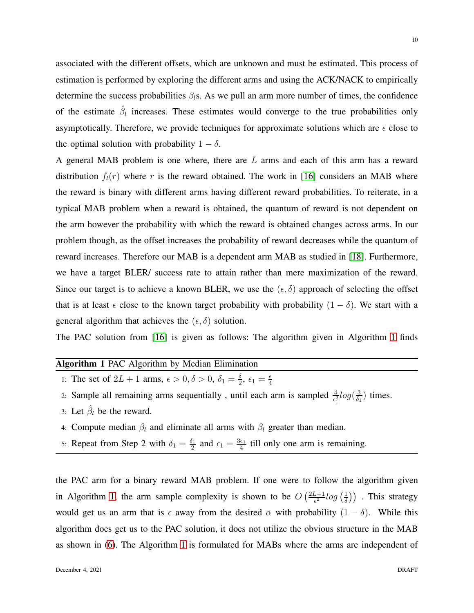associated with the different offsets, which are unknown and must be estimated. This process of estimation is performed by exploring the different arms and using the ACK/NACK to empirically determine the success probabilities  $\beta_l$ s. As we pull an arm more number of times, the confidence of the estimate  $\hat{\beta}_l$  increases. These estimates would converge to the true probabilities only asymptotically. Therefore, we provide techniques for approximate solutions which are  $\epsilon$  close to the optimal solution with probability  $1 - \delta$ .

A general MAB problem is one where, there are L arms and each of this arm has a reward distribution  $f_l(r)$  where r is the reward obtained. The work in [\[16\]](#page-24-12) considers an MAB where the reward is binary with different arms having different reward probabilities. To reiterate, in a typical MAB problem when a reward is obtained, the quantum of reward is not dependent on the arm however the probability with which the reward is obtained changes across arms. In our problem though, as the offset increases the probability of reward decreases while the quantum of reward increases. Therefore our MAB is a dependent arm MAB as studied in [\[18\]](#page-25-1). Furthermore, we have a target BLER/ success rate to attain rather than mere maximization of the reward. Since our target is to achieve a known BLER, we use the  $(\epsilon, \delta)$  approach of selecting the offset that is at least  $\epsilon$  close to the known target probability with probability  $(1 - \delta)$ . We start with a general algorithm that achieves the  $(\epsilon, \delta)$  solution.

<span id="page-9-0"></span>The PAC solution from [\[16\]](#page-24-12) is given as follows: The algorithm given in Algorithm [1](#page-9-0) finds

| <b>Algorithm 1 PAC Algorithm by Median Elimination</b>                                                                         |  |
|--------------------------------------------------------------------------------------------------------------------------------|--|
| 1: The set of $2L + 1$ arms, $\epsilon > 0$ , $\delta > 0$ , $\delta_1 = \frac{\delta}{2}$ , $\epsilon_1 = \frac{\epsilon}{4}$ |  |

- 2: Sample all remaining arms sequentially, until each arm is sampled  $\frac{4}{\epsilon_1^2} log(\frac{3}{\delta_1})$  $\frac{3}{\delta_1}$ ) times.
- 3: Let  $\hat{\beta}_l$  be the reward.
- 4: Compute median  $\beta_l$  and eliminate all arms with  $\beta_l$  greater than median.
- 5: Repeat from Step 2 with  $\delta_1 = \frac{\delta_1}{2}$  $\frac{\delta_1}{2}$  and  $\epsilon_1 = \frac{3\epsilon_1}{4}$  $\frac{\epsilon_1}{4}$  till only one arm is remaining.

the PAC arm for a binary reward MAB problem. If one were to follow the algorithm given in Algorithm [1,](#page-9-0) the arm sample complexity is shown to be  $O\left(\frac{2L+1}{\epsilon^2}\right)$  $\frac{L+1}{\epsilon^2}log\left(\frac{1}{\delta}\right)$  $\frac{1}{\delta}$ ) . This strategy would get us an arm that is  $\epsilon$  away from the desired  $\alpha$  with probability  $(1 - \delta)$ . While this algorithm does get us to the PAC solution, it does not utilize the obvious structure in the MAB as shown in [\(6\)](#page-8-0). The Algorithm [1](#page-9-0) is formulated for MABs where the arms are independent of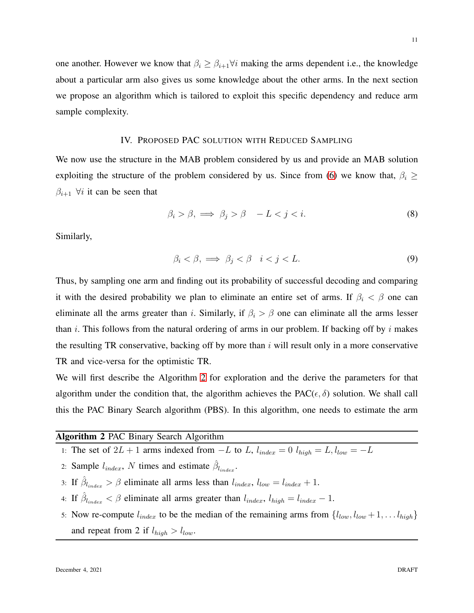one another. However we know that  $\beta_i \geq \beta_{i+1} \forall i$  making the arms dependent i.e., the knowledge about a particular arm also gives us some knowledge about the other arms. In the next section we propose an algorithm which is tailored to exploit this specific dependency and reduce arm sample complexity.

## IV. PROPOSED PAC SOLUTION WITH REDUCED SAMPLING

<span id="page-10-1"></span>We now use the structure in the MAB problem considered by us and provide an MAB solution exploiting the structure of the problem considered by us. Since from [\(6\)](#page-8-0) we know that,  $\beta_i \geq$  $\beta_{i+1}$   $\forall i$  it can be seen that

$$
\beta_i > \beta, \implies \beta_j > \beta \quad -L < j < i. \tag{8}
$$

Similarly,

$$
\beta_i < \beta, \implies \beta_j < \beta \quad i < j < L. \tag{9}
$$

Thus, by sampling one arm and finding out its probability of successful decoding and comparing it with the desired probability we plan to eliminate an entire set of arms. If  $\beta_i < \beta$  one can eliminate all the arms greater than i. Similarly, if  $\beta_i > \beta$  one can eliminate all the arms lesser than i. This follows from the natural ordering of arms in our problem. If backing off by i makes the resulting TR conservative, backing off by more than  $i$  will result only in a more conservative TR and vice-versa for the optimistic TR.

We will first describe the Algorithm [2](#page-10-0) for exploration and the derive the parameters for that algorithm under the condition that, the algorithm achieves the PAC( $\epsilon$ ,  $\delta$ ) solution. We shall call this the PAC Binary Search algorithm (PBS). In this algorithm, one needs to estimate the arm

<span id="page-10-0"></span>

| Algorithm 2 PAC Binary Search Algorithm |  |  |  |  |
|-----------------------------------------|--|--|--|--|
|-----------------------------------------|--|--|--|--|

- 1: The set of  $2L + 1$  arms indexed from  $-L$  to L,  $l_{index} = 0$   $l_{high} = L$ ,  $l_{low} = -L$
- 2: Sample  $l_{index}$ , N times and estimate  $\hat{\beta}_{l_{index}}$ .
- 3: If  $\hat{\beta}_{l_{index}} > \beta$  eliminate all arms less than  $l_{index}$ ,  $l_{low} = l_{index} + 1$ .
- 4: If  $\hat{\beta}_{l_{index}} < \beta$  eliminate all arms greater than  $l_{index}$ ,  $l_{high} = l_{index} 1$ .
- 5: Now re-compute  $l_{index}$  to be the median of the remaining arms from  $\{l_{low}, l_{low} + 1, \ldots l_{high}\}$ and repeat from 2 if  $l_{high} > l_{low}$ .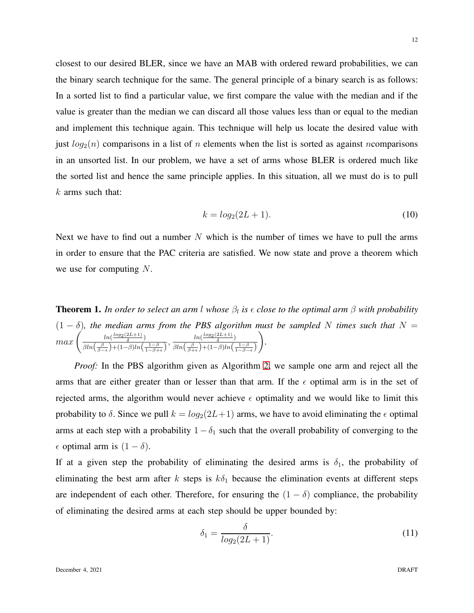closest to our desired BLER, since we have an MAB with ordered reward probabilities, we can the binary search technique for the same. The general principle of a binary search is as follows: In a sorted list to find a particular value, we first compare the value with the median and if the value is greater than the median we can discard all those values less than or equal to the median and implement this technique again. This technique will help us locate the desired value with just  $log_2(n)$  comparisons in a list of n elements when the list is sorted as against ncomparisons in an unsorted list. In our problem, we have a set of arms whose BLER is ordered much like the sorted list and hence the same principle applies. In this situation, all we must do is to pull  $k$  arms such that:

$$
k = \log_2(2L+1). \tag{10}
$$

Next we have to find out a number  $N$  which is the number of times we have to pull the arms in order to ensure that the PAC criteria are satisfied. We now state and prove a theorem which we use for computing N.

**Theorem 1.** In order to select an arm l whose  $\beta_l$  is  $\epsilon$  close to the optimal arm  $\beta$  with probability  $(1 - \delta)$ , the median arms from the PBS algorithm must be sampled N times such that  $N =$  $max\left(\frac{\ln(\frac{\log_2(2L+1)}{\delta})}{\frac{2L}{\delta} + \ln(\frac{\beta}{\delta}) + (1-\frac{\beta}{\delta})L}\right)$  $\frac{ln(\frac{log_2(2L+1)}{\delta})}{\beta ln(\frac{\beta}{\beta-\epsilon})+(1-\beta)ln(\frac{1-\beta}{1-\beta+\epsilon})}, \frac{ln(\frac{log_2(2L+1)}{\delta})}{\beta ln(\frac{\beta}{\beta+\epsilon})+(1-\beta)ln(\frac{\beta}{1-\beta+\epsilon})}$  $\beta ln\left(\frac{\beta}{\beta+\epsilon}\right)+(1-\beta)ln\left(\frac{1-\beta}{1-\beta-\epsilon}\right)$ *.*

*Proof:* In the PBS algorithm given as Algorithm [2,](#page-10-0) we sample one arm and reject all the arms that are either greater than or lesser than that arm. If the  $\epsilon$  optimal arm is in the set of rejected arms, the algorithm would never achieve  $\epsilon$  optimality and we would like to limit this probability to  $\delta$ . Since we pull  $k = log_2(2L+1)$  arms, we have to avoid eliminating the  $\epsilon$  optimal arms at each step with a probability  $1 - \delta_1$  such that the overall probability of converging to the  $\epsilon$  optimal arm is  $(1 - \delta)$ .

If at a given step the probability of eliminating the desired arms is  $\delta_1$ , the probability of eliminating the best arm after k steps is  $k\delta_1$  because the elimination events at different steps are independent of each other. Therefore, for ensuring the  $(1 - \delta)$  compliance, the probability of eliminating the desired arms at each step should be upper bounded by:

$$
\delta_1 = \frac{\delta}{\log_2(2L+1)}.\tag{11}
$$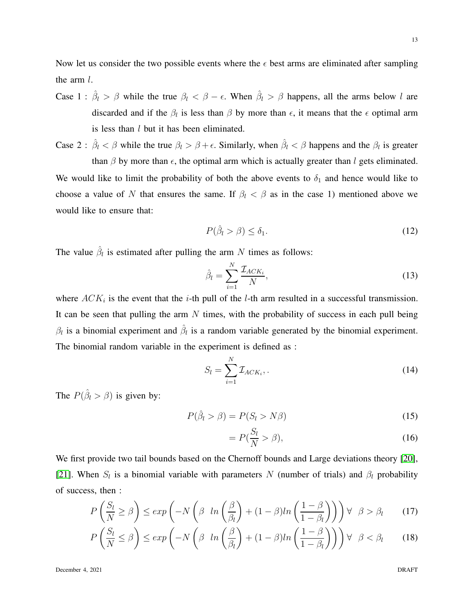13

Now let us consider the two possible events where the  $\epsilon$  best arms are eliminated after sampling the arm l.

Case 1 :  $\hat{\beta}_l > \beta$  while the true  $\beta_l < \beta - \epsilon$ . When  $\hat{\beta}_l > \beta$  happens, all the arms below l are discarded and if the  $\beta_l$  is less than  $\beta$  by more than  $\epsilon$ , it means that the  $\epsilon$  optimal arm is less than  $l$  but it has been eliminated.

Case 2:  $\hat{\beta}_l < \beta$  while the true  $\beta_l > \beta + \epsilon$ . Similarly, when  $\hat{\beta}_l < \beta$  happens and the  $\beta_l$  is greater than  $\beta$  by more than  $\epsilon$ , the optimal arm which is actually greater than l gets eliminated.

We would like to limit the probability of both the above events to  $\delta_1$  and hence would like to choose a value of N that ensures the same. If  $\beta_l < \beta$  as in the case 1) mentioned above we would like to ensure that:

$$
P(\hat{\beta}_l > \beta) \le \delta_1. \tag{12}
$$

The value  $\hat{\beta}_l$  is estimated after pulling the arm N times as follows:

$$
\hat{\beta}_l = \sum_{i=1}^N \frac{\mathcal{I}_{ACK_i}}{N},\tag{13}
$$

where  $ACK_i$  is the event that the *i*-th pull of the *l*-th arm resulted in a successful transmission. It can be seen that pulling the arm  $N$  times, with the probability of success in each pull being  $\beta_l$  is a binomial experiment and  $\hat{\beta}_l$  is a random variable generated by the binomial experiment. The binomial random variable in the experiment is defined as :

$$
S_l = \sum_{i=1}^{N} \mathcal{I}_{ACK_i},\tag{14}
$$

The  $P(\hat{\beta}_l > \beta)$  is given by:

$$
P(\hat{\beta}_l > \beta) = P(S_l > N\beta)
$$
\n(15)

<span id="page-12-2"></span><span id="page-12-1"></span><span id="page-12-0"></span>
$$
=P(\frac{S_l}{N} > \beta),\tag{16}
$$

We first provide two tail bounds based on the Chernoff bounds and Large deviations theory [\[20\]](#page-25-3), [\[21\]](#page-25-4). When  $S_l$  is a binomial variable with parameters N (number of trials) and  $\beta_l$  probability of success, then :

$$
P\left(\frac{S_l}{N} \ge \beta\right) \le \exp\left(-N\left(\beta \ln\left(\frac{\beta}{\beta_l}\right) + (1-\beta)\ln\left(\frac{1-\beta}{1-\beta_l}\right)\right)\right) \forall \beta > \beta_l \tag{17}
$$

$$
P\left(\frac{S_l}{N} \le \beta\right) \le \exp\left(-N\left(\beta \ln\left(\frac{\beta}{\beta_l}\right) + (1-\beta) \ln\left(\frac{1-\beta}{1-\beta_l}\right)\right)\right) \forall \ \beta < \beta_l \tag{18}
$$

December 4, 2021 DRAFT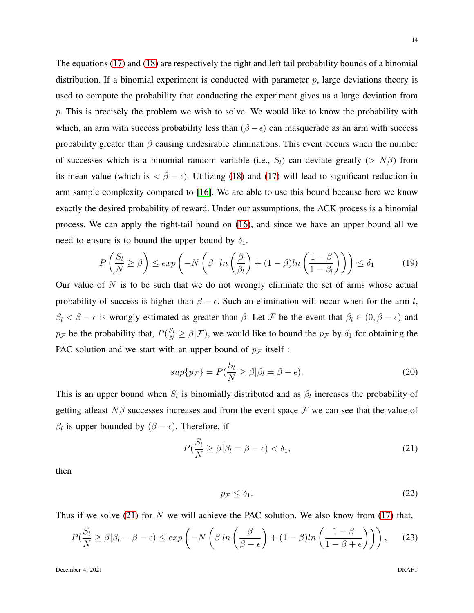The equations [\(17\)](#page-12-0) and [\(18\)](#page-12-1) are respectively the right and left tail probability bounds of a binomial distribution. If a binomial experiment is conducted with parameter  $p$ , large deviations theory is used to compute the probability that conducting the experiment gives us a large deviation from p. This is precisely the problem we wish to solve. We would like to know the probability with which, an arm with success probability less than  $(\beta - \epsilon)$  can masquerade as an arm with success probability greater than  $\beta$  causing undesirable eliminations. This event occurs when the number of successes which is a binomial random variable (i.e.,  $S_l$ ) can deviate greatly (>  $N\beta$ ) from its mean value (which is  $\langle \beta - \epsilon \rangle$ ). Utilizing [\(18\)](#page-12-1) and [\(17\)](#page-12-0) will lead to significant reduction in

arm sample complexity compared to [\[16\]](#page-24-12). We are able to use this bound because here we know exactly the desired probability of reward. Under our assumptions, the ACK process is a binomial process. We can apply the right-tail bound on [\(16\)](#page-12-2), and since we have an upper bound all we need to ensure is to bound the upper bound by  $\delta_1$ .

$$
P\left(\frac{S_l}{N} \ge \beta\right) \le \exp\left(-N\left(\beta \ln\left(\frac{\beta}{\beta_l}\right) + (1-\beta)\ln\left(\frac{1-\beta}{1-\beta_l}\right)\right)\right) \le \delta_1\tag{19}
$$

Our value of  $N$  is to be such that we do not wrongly eliminate the set of arms whose actual probability of success is higher than  $\beta - \epsilon$ . Such an elimination will occur when for the arm l,  $\beta_l < \beta - \epsilon$  is wrongly estimated as greater than  $\beta$ . Let F be the event that  $\beta_l \in (0, \beta - \epsilon)$  and  $p_{\mathcal{F}}$  be the probability that,  $P(\frac{S_l}{N} \geq \beta | \mathcal{F})$ , we would like to bound the  $p_{\mathcal{F}}$  by  $\delta_1$  for obtaining the PAC solution and we start with an upper bound of  $p<sub>F</sub>$  itself :

$$
sup\{p_{\mathcal{F}}\} = P(\frac{S_l}{N} \ge \beta | \beta_l = \beta - \epsilon). \tag{20}
$$

This is an upper bound when  $S_l$  is binomially distributed and as  $\beta_l$  increases the probability of getting atleast  $N\beta$  successes increases and from the event space  $\mathcal F$  we can see that the value of  $\beta_l$  is upper bounded by  $(\beta - \epsilon)$ . Therefore, if

$$
P(\frac{S_l}{N} \ge \beta | \beta_l = \beta - \epsilon) < \delta_1,\tag{21}
$$

then

<span id="page-13-0"></span>
$$
p_{\mathcal{F}} \le \delta_1. \tag{22}
$$

Thus if we solve [\(21\)](#page-13-0) for N we will achieve the PAC solution. We also know from [\(17\)](#page-12-0) that,

$$
P\left(\frac{S_l}{N} \ge \beta | \beta_l = \beta - \epsilon\right) \le \exp\left(-N\left(\beta \ln\left(\frac{\beta}{\beta - \epsilon}\right) + (1 - \beta)\ln\left(\frac{1 - \beta}{1 - \beta + \epsilon}\right)\right)\right),\tag{23}
$$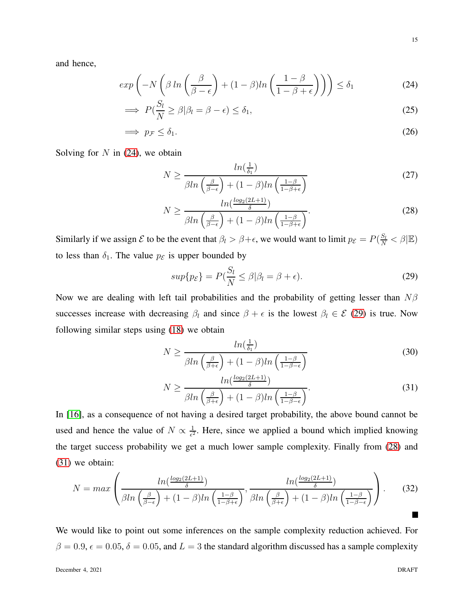and hence,

$$
\exp\left(-N\left(\beta\ln\left(\frac{\beta}{\beta-\epsilon}\right)+(1-\beta)\ln\left(\frac{1-\beta}{1-\beta+\epsilon}\right)\right)\right)\leq \delta_1\tag{24}
$$

$$
\implies P(\frac{S_l}{N} \ge \beta | \beta_l = \beta - \epsilon) \le \delta_1,\tag{25}
$$

$$
\implies p_{\mathcal{F}} \le \delta_1. \tag{26}
$$

Solving for  $N$  in [\(24\)](#page-14-0), we obtain

<span id="page-14-0"></span>
$$
N \ge \frac{ln(\frac{1}{\delta_1})}{\beta ln\left(\frac{\beta}{\beta - \epsilon}\right) + (1 - \beta)ln\left(\frac{1 - \beta}{1 - \beta + \epsilon}\right)}
$$
(27)

<span id="page-14-2"></span>
$$
N \ge \frac{\ln\left(\frac{\log_2(2L+1)}{\delta}\right)}{\beta \ln\left(\frac{\beta}{\beta-\epsilon}\right) + (1-\beta)\ln\left(\frac{1-\beta}{1-\beta+\epsilon}\right)}.\tag{28}
$$

Similarly if we assign  $\mathcal E$  to be the event that  $\beta_l > \beta + \epsilon$ , we would want to limit  $p_{\mathcal E} = P(\frac{S_l}{N} < \beta | \mathbb E)$ to less than  $\delta_1$ . The value  $p_{\mathcal{E}}$  is upper bounded by

<span id="page-14-1"></span>
$$
sup\{p_{\mathcal{E}}\} = P(\frac{S_l}{N} \le \beta | \beta_l = \beta + \epsilon). \tag{29}
$$

Now we are dealing with left tail probabilities and the probability of getting lesser than  $N\beta$ successes increase with decreasing  $\beta_l$  and since  $\beta + \epsilon$  is the lowest  $\beta_l \in \mathcal{E}$  [\(29\)](#page-14-1) is true. Now following similar steps using [\(18\)](#page-12-1) we obtain

$$
N \ge \frac{ln(\frac{1}{\delta_1})}{\beta ln(\frac{\beta}{\beta + \epsilon}) + (1 - \beta)ln(\frac{1 - \beta}{1 - \beta - \epsilon})}
$$
(30)

<span id="page-14-4"></span><span id="page-14-3"></span>
$$
N \ge \frac{\ln\left(\frac{\log(2L+1)}{\delta}\right)}{\beta \ln\left(\frac{\beta}{\beta+\epsilon}\right) + (1-\beta)\ln\left(\frac{1-\beta}{1-\beta-\epsilon}\right)}.\tag{31}
$$

In [\[16\]](#page-24-12), as a consequence of not having a desired target probability, the above bound cannot be used and hence the value of  $N \propto \frac{1}{\epsilon^2}$  $\frac{1}{\epsilon^2}$ . Here, since we applied a bound which implied knowing the target success probability we get a much lower sample complexity. Finally from [\(28\)](#page-14-2) and [\(31\)](#page-14-3) we obtain:

$$
N = \max\left(\frac{\ln(\frac{\log(2L+1)}{\delta})}{\beta \ln\left(\frac{\beta}{\beta-\epsilon}\right) + (1-\beta)\ln\left(\frac{1-\beta}{1-\beta+\epsilon}\right)}, \frac{\ln(\frac{\log(2L+1)}{\delta})}{\beta \ln\left(\frac{\beta}{\beta+\epsilon}\right) + (1-\beta)\ln\left(\frac{1-\beta}{1-\beta-\epsilon}\right)}\right). \tag{32}
$$

We would like to point out some inferences on the sample complexity reduction achieved. For  $\beta = 0.9$ ,  $\epsilon = 0.05$ ,  $\delta = 0.05$ , and  $L = 3$  the standard algorithm discussed has a sample complexity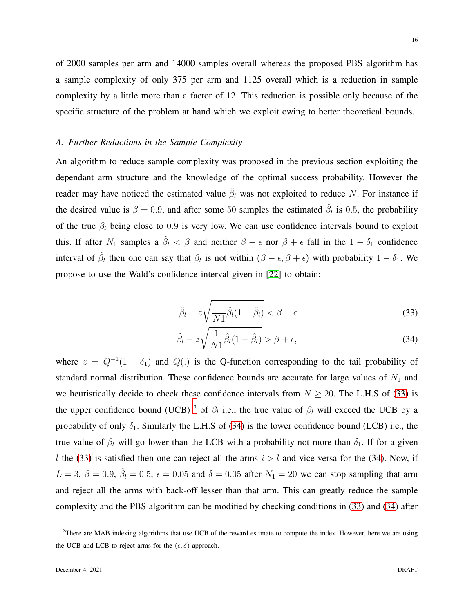of 2000 samples per arm and 14000 samples overall whereas the proposed PBS algorithm has a sample complexity of only 375 per arm and 1125 overall which is a reduction in sample complexity by a little more than a factor of 12. This reduction is possible only because of the specific structure of the problem at hand which we exploit owing to better theoretical bounds.

## <span id="page-15-3"></span>*A. Further Reductions in the Sample Complexity*

An algorithm to reduce sample complexity was proposed in the previous section exploiting the dependant arm structure and the knowledge of the optimal success probability. However the reader may have noticed the estimated value  $\hat{\beta}_l$  was not exploited to reduce N. For instance if the desired value is  $\beta = 0.9$ , and after some 50 samples the estimated  $\hat{\beta}_l$  is 0.5, the probability of the true  $\beta_l$  being close to 0.9 is very low. We can use confidence intervals bound to exploit this. If after  $N_1$  samples a  $\hat{\beta}_l < \beta$  and neither  $\beta - \epsilon$  nor  $\beta + \epsilon$  fall in the  $1 - \delta_1$  confidence interval of  $\hat{\beta}_l$  then one can say that  $\beta_l$  is not within  $(\beta - \epsilon, \beta + \epsilon)$  with probability  $1 - \delta_1$ . We propose to use the Wald's confidence interval given in [\[22\]](#page-25-5) to obtain:

<span id="page-15-2"></span><span id="page-15-0"></span>
$$
\hat{\beta}_l + z\sqrt{\frac{1}{N1}\hat{\beta}_l(1-\hat{\beta}_l)} < \beta - \epsilon \tag{33}
$$

$$
\hat{\beta}_l - z\sqrt{\frac{1}{N1}\hat{\beta}_l(1-\hat{\beta}_l)} > \beta + \epsilon,\tag{34}
$$

where  $z = Q^{-1}(1 - \delta_1)$  and  $Q(.)$  is the Q-function corresponding to the tail probability of standard normal distribution. These confidence bounds are accurate for large values of  $N_1$  and we heuristically decide to check these confidence intervals from  $N \ge 20$ . The L.H.S of [\(33\)](#page-15-0) is the upper confidence bound (UCB) <sup>[2](#page-15-1)</sup> of  $\beta_l$  i.e., the true value of  $\beta_l$  will exceed the UCB by a probability of only  $\delta_1$ . Similarly the L.H.S of [\(34\)](#page-15-2) is the lower confidence bound (LCB) i.e., the true value of  $\beta_l$  will go lower than the LCB with a probability not more than  $\delta_1$ . If for a given l the [\(33\)](#page-15-0) is satisfied then one can reject all the arms  $i > l$  and vice-versa for the [\(34\)](#page-15-2). Now, if  $L = 3$ ,  $\beta = 0.9$ ,  $\hat{\beta}_l = 0.5$ ,  $\epsilon = 0.05$  and  $\delta = 0.05$  after  $N_1 = 20$  we can stop sampling that arm and reject all the arms with back-off lesser than that arm. This can greatly reduce the sample complexity and the PBS algorithm can be modified by checking conditions in [\(33\)](#page-15-0) and [\(34\)](#page-15-2) after

<span id="page-15-1"></span><sup>&</sup>lt;sup>2</sup>There are MAB indexing algorithms that use UCB of the reward estimate to compute the index. However, here we are using the UCB and LCB to reject arms for the  $(\epsilon, \delta)$  approach.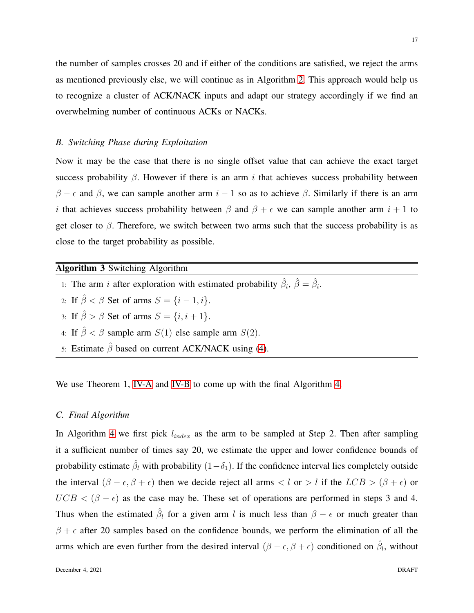the number of samples crosses 20 and if either of the conditions are satisfied, we reject the arms as mentioned previously else, we will continue as in Algorithm [2.](#page-10-0) This approach would help us to recognize a cluster of ACK/NACK inputs and adapt our strategy accordingly if we find an overwhelming number of continuous ACKs or NACKs.

## <span id="page-16-0"></span>*B. Switching Phase during Exploitation*

Now it may be the case that there is no single offset value that can achieve the exact target success probability  $\beta$ . However if there is an arm i that achieves success probability between  $\beta - \epsilon$  and  $\beta$ , we can sample another arm  $i - 1$  so as to achieve  $\beta$ . Similarly if there is an arm i that achieves success probability between  $\beta$  and  $\beta + \epsilon$  we can sample another arm  $i + 1$  to get closer to  $\beta$ . Therefore, we switch between two arms such that the success probability is as close to the target probability as possible.

# Algorithm 3 Switching Algorithm

- 1: The arm *i* after exploration with estimated probability  $\hat{\beta}_i$ ,  $\hat{\beta} = \hat{\beta}_i$ .
- 2: If  $\hat{\beta} < \beta$  Set of arms  $S = \{i 1, i\}.$
- 3: If  $\hat{\beta} > \beta$  Set of arms  $S = \{i, i+1\}.$
- 4: If  $\hat{\beta} < \beta$  sample arm  $S(1)$  else sample arm  $S(2)$ .
- 5: Estimate  $\hat{\beta}$  based on current ACK/NACK using [\(4\)](#page-7-0).

We use Theorem 1, [IV-A](#page-15-3) and [IV-B](#page-16-0) to come up with the final Algorithm [4.](#page-17-0)

### *C. Final Algorithm*

In Algorithm [4](#page-17-0) we first pick  $l_{index}$  as the arm to be sampled at Step 2. Then after sampling it a sufficient number of times say 20, we estimate the upper and lower confidence bounds of probability estimate  $\hat{\beta}_l$  with probability  $(1-\delta_1)$ . If the confidence interval lies completely outside the interval  $(\beta - \epsilon, \beta + \epsilon)$  then we decide reject all arms < l or > l if the  $LCB > (\beta + \epsilon)$  or  $UCB < (\beta - \epsilon)$  as the case may be. These set of operations are performed in steps 3 and 4. Thus when the estimated  $\hat{\beta}_l$  for a given arm l is much less than  $\beta - \epsilon$  or much greater than  $\beta + \epsilon$  after 20 samples based on the confidence bounds, we perform the elimination of all the arms which are even further from the desired interval  $(\beta - \epsilon, \beta + \epsilon)$  conditioned on  $\hat{\beta}_l$ , without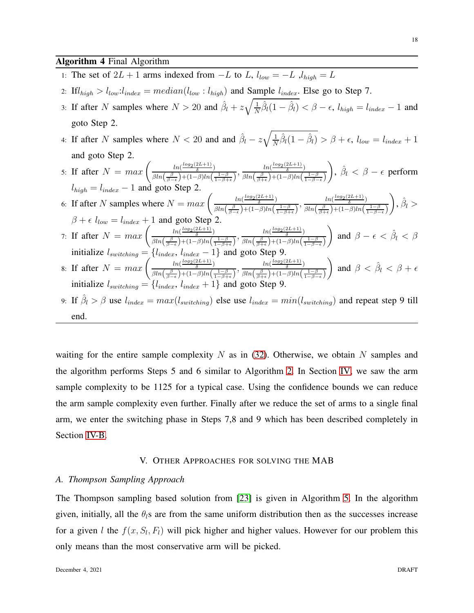# <span id="page-17-0"></span>Algorithm 4 Final Algorithm

- 1: The set of  $2L + 1$  arms indexed from  $-L$  to  $L$ ,  $l_{low} = -L$ ,  $\overline{l_{high} = L}$
- 2: If  $l_{high} > l_{low}$ :  $l_{index} = median(l_{low} : l_{high})$  and Sample  $l_{index}$ . Else go to Step 7.
- 3: If after N samples where  $N > 20$  and  $\hat{\beta}_l + z \sqrt{\frac{1}{N}}$  $\frac{1}{N}\hat{\beta}_l(1-\hat{\beta}_l) < \beta - \epsilon$ ,  $l_{high} = l_{index} - 1$  and goto Step 2.
- 4: If after N samples where  $N < 20$  and and  $\hat{\beta}_l z \sqrt{\frac{1}{N}}$  $\frac{1}{N}\hat{\beta}_l(1-\hat{\beta}_l) > \beta + \epsilon, l_{low} = l_{index} + 1$ and goto Step 2.
- 5: If after  $N = max \left( \frac{ln(\frac{log_2(2L+1)}{\delta})}{log_2(\frac{\beta}{\delta}) + (1 \delta)ln_2(\delta)} \right)$  $\frac{ln(\frac{log_2(2L+1)}{\delta})}{\beta ln(\frac{\beta}{\beta-\epsilon})+(1-\beta)ln(\frac{1-\beta}{1-\beta+\epsilon})}, \frac{ln(\frac{log_2(2L+1)}{\delta})}{\beta ln(\frac{\beta}{\beta+\epsilon})+(1-\beta)ln(\frac{\beta}{1-\beta+\epsilon})}$  $\beta ln\left(\frac{\beta}{\beta+\epsilon}\right)+(1-\beta)ln\left(\frac{1-\beta}{1-\beta-\epsilon}\right)$  $\int$ ,  $\hat{\beta}_l < \beta - \epsilon$  perform  $l_{high} = l_{index} - 1$  and goto Step 2.
- 6: If after N samples where  $N = max \left( \frac{ln(\frac{log_2(2L+1)}{\delta})}{e^{ln(\delta)} + ln(\frac{\delta}{\delta})} \right)$  $\frac{ln(\frac{log_2(2L+1)}{\delta})}{\beta ln(\frac{\beta}{\beta-\epsilon})+(1-\beta)ln(\frac{1-\beta}{1-\beta+\epsilon})}, \frac{ln(\frac{log_2(2L+1)}{\delta})}{\beta ln(\frac{\beta}{\beta+\epsilon})+(1-\beta)ln(\frac{\beta}{1-\beta+\epsilon})}$  $\beta ln\left(\frac{\beta}{\beta+\epsilon}\right)+(1-\beta)ln\left(\frac{1-\beta}{1-\beta-\epsilon}\right)$  $\bigg), \hat{\beta}_l >$  $\beta + \epsilon$   $l_{low} = l_{index} + 1$  and goto Step 2.
- 7: If after  $N = max \left( \frac{ln(\frac{log_2(2L+1)}{\delta})}{\frac{2ln(\delta)}{\delta} + \frac{1}{\delta} \frac{1}{\delta}} \right)$  $\frac{ln(\frac{log_2(2L+1)}{\delta})}{\beta ln(\frac{\beta}{\beta-\epsilon})+(1-\beta)ln(\frac{1-\beta}{1-\beta+\epsilon})}, \frac{ln(\frac{log_2(2L+1)}{\delta})}{\beta ln(\frac{\beta}{\beta+\epsilon})+(1-\beta)ln(\frac{\beta}{\delta})}$  $\beta ln\left(\frac{\beta}{\beta+\epsilon}\right)+(1-\beta)ln\left(\frac{1-\beta}{1-\beta-\epsilon}\right)$ ) and  $\beta - \epsilon < \hat{\beta}_l < \beta$ initialize  $l_{switching} = \{l_{index}, l_{index} - 1\}$  and goto Step 9. 8: If after  $N = max \left( \frac{ln(\frac{log_2(2L+1)}{\delta})}{\frac{2ln(\delta)}{\delta} + \frac{1}{\delta} \frac{1}{\delta}} \right)$  $\frac{\ln(\frac{\log_2(2L+1)}{\delta})}{\beta \ln(\frac{\beta}{\beta-\epsilon})+(1-\beta)\ln(\frac{1-\beta}{1-\beta+\epsilon})}, \frac{\ln(\frac{\log_2(2L+1)}{\delta})}{\beta \ln(\frac{\beta}{\beta+\epsilon})+(1-\beta)\ln(\frac{\beta}{\delta})}$ ) and  $\beta < \hat{\beta}_l < \beta + \epsilon$
- $\beta ln\left(\frac{\beta}{\beta+\epsilon}\right)+(1-\beta)ln\left(\frac{1-\beta}{1-\beta-\epsilon}\right)$ initialize  $l_{switching} = \{l_{index}, l_{index} + 1\}$  and goto Step
- 9: If  $\hat{\beta}_l > \beta$  use  $l_{index} = max(l_{switching})$  else use  $l_{index} = min(l_{switching})$  and repeat step 9 till end.

waiting for the entire sample complexity N as in  $(32)$ . Otherwise, we obtain N samples and the algorithm performs Steps 5 and 6 similar to Algorithm [2.](#page-10-0) In Section [IV,](#page-10-1) we saw the arm sample complexity to be 1125 for a typical case. Using the confidence bounds we can reduce the arm sample complexity even further. Finally after we reduce the set of arms to a single final arm, we enter the switching phase in Steps 7,8 and 9 which has been described completely in Section [IV-B.](#page-16-0)

## V. OTHER APPROACHES FOR SOLVING THE MAB

#### *A. Thompson Sampling Approach*

The Thompson sampling based solution from [\[23\]](#page-25-6) is given in Algorithm [5.](#page-18-0) In the algorithm given, initially, all the  $\theta_l$ s are from the same uniform distribution then as the successes increase for a given l the  $f(x, S_l, F_l)$  will pick higher and higher values. However for our problem this only means than the most conservative arm will be picked.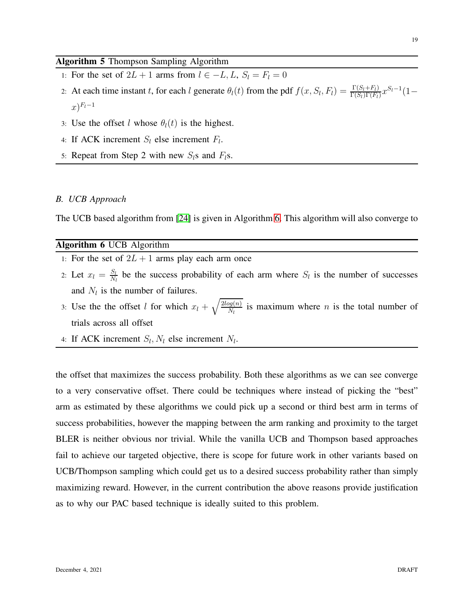# <span id="page-18-0"></span>Algorithm 5 Thompson Sampling Algorithm

- 1: For the set of  $2L + 1$  arms from  $l \in -L, L, S_l = F_l = 0$
- 2: At each time instant t, for each l generate  $\theta_l(t)$  from the pdf  $f(x, S_l, F_l) = \frac{\Gamma(S_l + F_l)}{\Gamma(S_l)\Gamma(F_l)} x^{S_l 1} (1 (x)^{F_l-1}$
- 3: Use the offset l whose  $\theta_l(t)$  is the highest.
- 4: If ACK increment  $S_l$  else increment  $F_l$ .
- 5: Repeat from Step 2 with new  $S_l$ s and  $F_l$ s.

## *B. UCB Approach*

<span id="page-18-1"></span>The UCB based algorithm from [\[24\]](#page-25-7) is given in Algorithm [6.](#page-18-1) This algorithm will also converge to

# Algorithm 6 UCB Algorithm

- 1: For the set of  $2L + 1$  arms play each arm once
- 2: Let  $x_l = \frac{S_l}{N_l}$  $\frac{S_l}{N_l}$  be the success probability of each arm where  $S_l$  is the number of successes and  $N_l$  is the number of failures.
- 3: Use the the offset l for which  $x_l + \sqrt{\frac{2log(n)}{N_l}}$  $\frac{\log(n)}{N_l}$  is maximum where *n* is the total number of trials across all offset
- 4: If ACK increment  $S_l, N_l$  else increment  $N_l$ .

the offset that maximizes the success probability. Both these algorithms as we can see converge to a very conservative offset. There could be techniques where instead of picking the "best" arm as estimated by these algorithms we could pick up a second or third best arm in terms of success probabilities, however the mapping between the arm ranking and proximity to the target BLER is neither obvious nor trivial. While the vanilla UCB and Thompson based approaches fail to achieve our targeted objective, there is scope for future work in other variants based on UCB/Thompson sampling which could get us to a desired success probability rather than simply maximizing reward. However, in the current contribution the above reasons provide justification as to why our PAC based technique is ideally suited to this problem.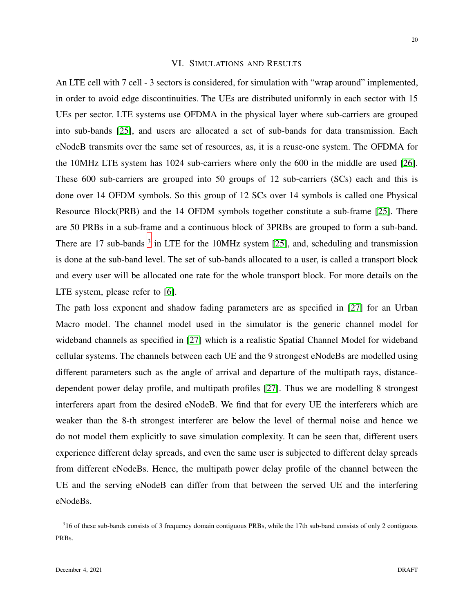## VI. SIMULATIONS AND RESULTS

An LTE cell with 7 cell - 3 sectors is considered, for simulation with "wrap around" implemented, in order to avoid edge discontinuities. The UEs are distributed uniformly in each sector with 15 UEs per sector. LTE systems use OFDMA in the physical layer where sub-carriers are grouped into sub-bands [\[25\]](#page-25-8), and users are allocated a set of sub-bands for data transmission. Each eNodeB transmits over the same set of resources, as, it is a reuse-one system. The OFDMA for the 10MHz LTE system has 1024 sub-carriers where only the 600 in the middle are used [\[26\]](#page-25-9). These 600 sub-carriers are grouped into 50 groups of 12 sub-carriers (SCs) each and this is done over 14 OFDM symbols. So this group of 12 SCs over 14 symbols is called one Physical Resource Block(PRB) and the 14 OFDM symbols together constitute a sub-frame [\[25\]](#page-25-8). There are 50 PRBs in a sub-frame and a continuous block of 3PRBs are grouped to form a sub-band. There are 17 sub-bands  $3$  in LTE for the 10MHz system [\[25\]](#page-25-8), and, scheduling and transmission is done at the sub-band level. The set of sub-bands allocated to a user, is called a transport block and every user will be allocated one rate for the whole transport block. For more details on the LTE system, please refer to [\[6\]](#page-24-3).

The path loss exponent and shadow fading parameters are as specified in [\[27\]](#page-25-10) for an Urban Macro model. The channel model used in the simulator is the generic channel model for wideband channels as specified in [\[27\]](#page-25-10) which is a realistic Spatial Channel Model for wideband cellular systems. The channels between each UE and the 9 strongest eNodeBs are modelled using different parameters such as the angle of arrival and departure of the multipath rays, distancedependent power delay profile, and multipath profiles [\[27\]](#page-25-10). Thus we are modelling 8 strongest interferers apart from the desired eNodeB. We find that for every UE the interferers which are weaker than the 8-th strongest interferer are below the level of thermal noise and hence we do not model them explicitly to save simulation complexity. It can be seen that, different users experience different delay spreads, and even the same user is subjected to different delay spreads from different eNodeBs. Hence, the multipath power delay profile of the channel between the UE and the serving eNodeB can differ from that between the served UE and the interfering eNodeBs.

<span id="page-19-0"></span> $316$  of these sub-bands consists of 3 frequency domain contiguous PRBs, while the 17th sub-band consists of only 2 contiguous PRBs.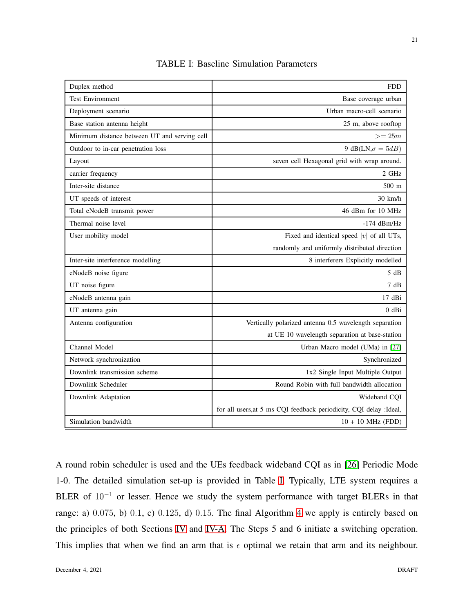<span id="page-20-0"></span>

| Duplex method                                | <b>FDD</b>                                                          |  |
|----------------------------------------------|---------------------------------------------------------------------|--|
| <b>Test Environment</b>                      | Base coverage urban                                                 |  |
| Deployment scenario                          | Urban macro-cell scenario                                           |  |
| Base station antenna height                  | 25 m, above rooftop                                                 |  |
| Minimum distance between UT and serving cell | $>= 25m$                                                            |  |
| Outdoor to in-car penetration loss           | 9 dB(LN, $\sigma = 5dB$ )                                           |  |
| Layout                                       | seven cell Hexagonal grid with wrap around.                         |  |
| carrier frequency                            | 2 GHz                                                               |  |
| Inter-site distance                          | $500 \text{ m}$                                                     |  |
| UT speeds of interest                        | $30 \text{ km/h}$                                                   |  |
| Total eNodeB transmit power                  | 46 dBm for 10 MHz                                                   |  |
| Thermal noise level                          | $-174$ dBm/Hz                                                       |  |
| User mobility model                          | Fixed and identical speed  v  of all UTs,                           |  |
|                                              | randomly and uniformly distributed direction                        |  |
| Inter-site interference modelling            | 8 interferers Explicitly modelled                                   |  |
| eNodeB noise figure                          | 5 dB                                                                |  |
| UT noise figure                              | 7 dB                                                                |  |
| eNodeB antenna gain                          | 17 dBi                                                              |  |
| UT antenna gain                              | $0$ dBi                                                             |  |
| Antenna configuration                        | Vertically polarized antenna 0.5 wavelength separation              |  |
|                                              | at UE 10 wavelength separation at base-station                      |  |
| Channel Model                                | Urban Macro model (UMa) in [27]                                     |  |
| Network synchronization                      | Synchronized                                                        |  |
| Downlink transmission scheme                 | 1x2 Single Input Multiple Output                                    |  |
| Downlink Scheduler                           | Round Robin with full bandwidth allocation                          |  |
| Downlink Adaptation                          | Wideband CQI                                                        |  |
|                                              | for all users, at 5 ms CQI feedback periodicity, CQI delay : Ideal, |  |
| Simulation bandwidth                         | $10 + 10$ MHz (FDD)                                                 |  |

TABLE I: Baseline Simulation Parameters

A round robin scheduler is used and the UEs feedback wideband CQI as in [\[26\]](#page-25-9) Periodic Mode 1-0. The detailed simulation set-up is provided in Table [I.](#page-20-0) Typically, LTE system requires a BLER of  $10^{-1}$  or lesser. Hence we study the system performance with target BLERs in that range: a) 0.075, b) 0.1, c) 0.125, d) 0.15. The final Algorithm [4](#page-17-0) we apply is entirely based on the principles of both Sections [IV](#page-10-1) and [IV-A.](#page-15-3) The Steps 5 and 6 initiate a switching operation. This implies that when we find an arm that is  $\epsilon$  optimal we retain that arm and its neighbour.

21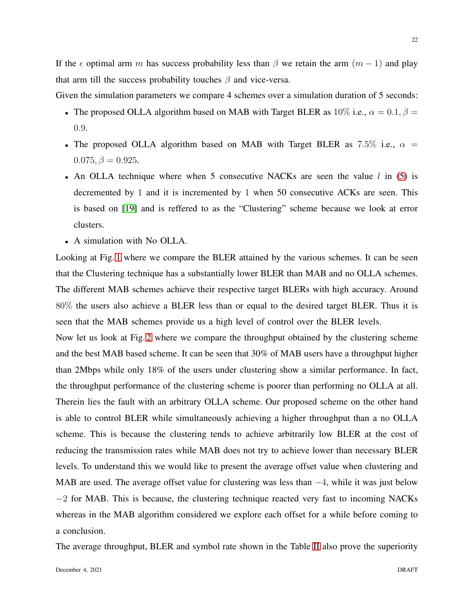If the  $\epsilon$  optimal arm m has success probability less than  $\beta$  we retain the arm  $(m - 1)$  and play that arm till the success probability touches  $\beta$  and vice-versa.

Given the simulation parameters we compare 4 schemes over a simulation duration of 5 seconds:

- The proposed OLLA algorithm based on MAB with Target BLER as  $10\%$  i.e.,  $\alpha = 0.1$ ,  $\beta =$ 0.9.
- The proposed OLLA algorithm based on MAB with Target BLER as 7.5% i.e.,  $\alpha$  =  $0.075, \beta = 0.925.$
- An OLLA technique where when 5 consecutive NACKs are seen the value  $l$  in [\(5\)](#page-7-1) is decremented by 1 and it is incremented by 1 when 50 consecutive ACKs are seen. This is based on [\[19\]](#page-25-2) and is reffered to as the "Clustering" scheme because we look at error clusters.
- A simulation with No OLLA.

Looking at Fig. [1](#page-22-0) where we compare the BLER attained by the various schemes. It can be seen that the Clustering technique has a substantially lower BLER than MAB and no OLLA schemes. The different MAB schemes achieve their respective target BLERs with high accuracy. Around 80% the users also achieve a BLER less than or equal to the desired target BLER. Thus it is seen that the MAB schemes provide us a high level of control over the BLER levels.

Now let us look at Fig. [2](#page-22-1) where we compare the throughput obtained by the clustering scheme and the best MAB based scheme. It can be seen that 30% of MAB users have a throughput higher than 2Mbps while only 18% of the users under clustering show a similar performance. In fact, the throughput performance of the clustering scheme is poorer than performing no OLLA at all. Therein lies the fault with an arbitrary OLLA scheme. Our proposed scheme on the other hand is able to control BLER while simultaneously achieving a higher throughput than a no OLLA scheme. This is because the clustering tends to achieve arbitrarily low BLER at the cost of reducing the transmission rates while MAB does not try to achieve lower than necessary BLER levels. To understand this we would like to present the average offset value when clustering and MAB are used. The average offset value for clustering was less than −4, while it was just below  $-2$  for MAB. This is because, the clustering technique reacted very fast to incoming NACKs whereas in the MAB algorithm considered we explore each offset for a while before coming to a conclusion.

The average throughput, BLER and symbol rate shown in the Table [II](#page-23-0) also prove the superiority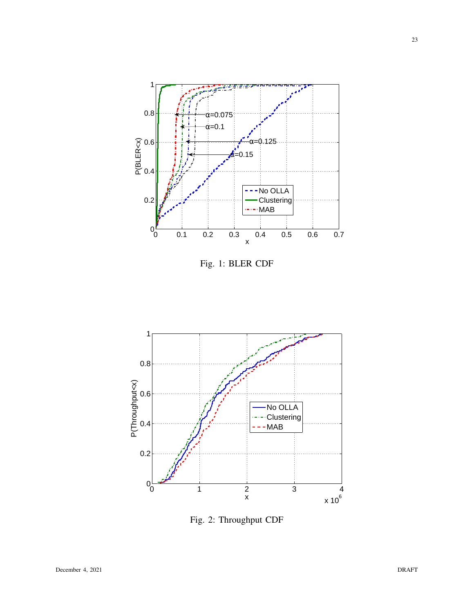<span id="page-22-0"></span>



<span id="page-22-1"></span>

Fig. 2: Throughput CDF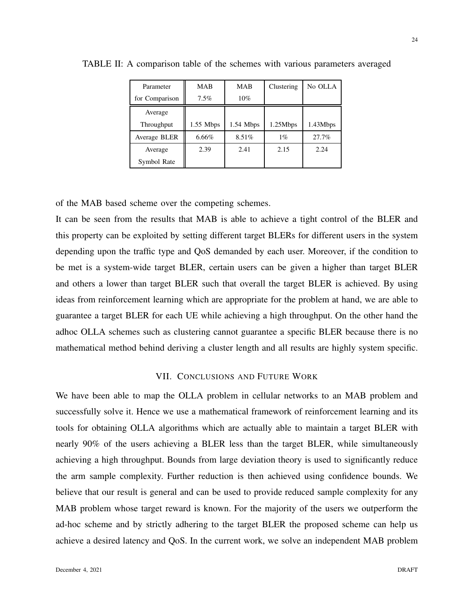| Parameter      | <b>MAB</b>  | <b>MAB</b>  | Clustering | No OLLA  |
|----------------|-------------|-------------|------------|----------|
| for Comparison | 7.5%        | 10%         |            |          |
| Average        |             |             |            |          |
| Throughput     | $1.55$ Mbps | $1.54$ Mbps | 1.25Mbps   | 1.43Mbps |
| Average BLER   | 6.66%       | 8.51%       | $1\%$      | 27.7%    |
| Average        | 2.39        | 2.41        | 2.15       | 2.24     |
| Symbol Rate    |             |             |            |          |

<span id="page-23-0"></span>TABLE II: A comparison table of the schemes with various parameters averaged

of the MAB based scheme over the competing schemes.

It can be seen from the results that MAB is able to achieve a tight control of the BLER and this property can be exploited by setting different target BLERs for different users in the system depending upon the traffic type and QoS demanded by each user. Moreover, if the condition to be met is a system-wide target BLER, certain users can be given a higher than target BLER and others a lower than target BLER such that overall the target BLER is achieved. By using ideas from reinforcement learning which are appropriate for the problem at hand, we are able to guarantee a target BLER for each UE while achieving a high throughput. On the other hand the adhoc OLLA schemes such as clustering cannot guarantee a specific BLER because there is no mathematical method behind deriving a cluster length and all results are highly system specific.

## VII. CONCLUSIONS AND FUTURE WORK

We have been able to map the OLLA problem in cellular networks to an MAB problem and successfully solve it. Hence we use a mathematical framework of reinforcement learning and its tools for obtaining OLLA algorithms which are actually able to maintain a target BLER with nearly 90% of the users achieving a BLER less than the target BLER, while simultaneously achieving a high throughput. Bounds from large deviation theory is used to significantly reduce the arm sample complexity. Further reduction is then achieved using confidence bounds. We believe that our result is general and can be used to provide reduced sample complexity for any MAB problem whose target reward is known. For the majority of the users we outperform the ad-hoc scheme and by strictly adhering to the target BLER the proposed scheme can help us achieve a desired latency and QoS. In the current work, we solve an independent MAB problem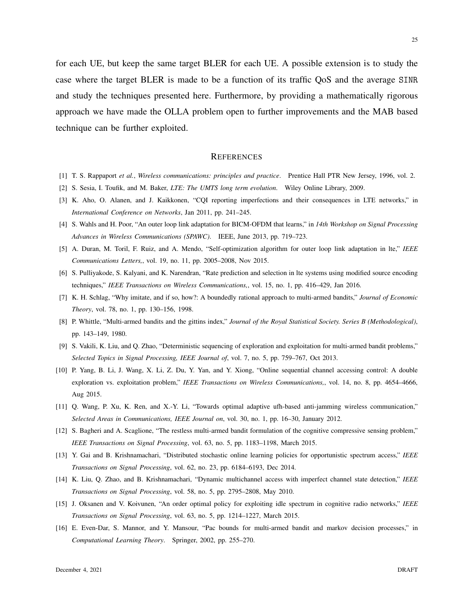for each UE, but keep the same target BLER for each UE. A possible extension is to study the case where the target BLER is made to be a function of its traffic QoS and the average SINR and study the techniques presented here. Furthermore, by providing a mathematically rigorous approach we have made the OLLA problem open to further improvements and the MAB based technique can be further exploited.

#### **REFERENCES**

- <span id="page-24-1"></span><span id="page-24-0"></span>[1] T. S. Rappaport *et al.*, *Wireless communications: principles and practice*. Prentice Hall PTR New Jersey, 1996, vol. 2.
- <span id="page-24-2"></span>[2] S. Sesia, I. Toufik, and M. Baker, *LTE: The UMTS long term evolution*. Wiley Online Library, 2009.
- <span id="page-24-4"></span>[3] K. Aho, O. Alanen, and J. Kaikkonen, "CQI reporting imperfections and their consequences in LTE networks," in *International Conference on Networks*, Jan 2011, pp. 241–245.
- <span id="page-24-5"></span>[4] S. Wahls and H. Poor, "An outer loop link adaptation for BICM-OFDM that learns," in *14th Workshop on Signal Processing Advances in Wireless Communications (SPAWC)*. IEEE, June 2013, pp. 719–723.
- <span id="page-24-3"></span>[5] A. Duran, M. Toril, F. Ruiz, and A. Mendo, "Self-optimization algorithm for outer loop link adaptation in lte," *IEEE Communications Letters,*, vol. 19, no. 11, pp. 2005–2008, Nov 2015.
- <span id="page-24-6"></span>[6] S. Pulliyakode, S. Kalyani, and K. Narendran, "Rate prediction and selection in lte systems using modified source encoding techniques," *IEEE Transactions on Wireless Communications,*, vol. 15, no. 1, pp. 416–429, Jan 2016.
- [7] K. H. Schlag, "Why imitate, and if so, how?: A boundedly rational approach to multi-armed bandits," *Journal of Economic Theory*, vol. 78, no. 1, pp. 130–156, 1998.
- <span id="page-24-7"></span>[8] P. Whittle, "Multi-armed bandits and the gittins index," *Journal of the Royal Statistical Society. Series B (Methodological)*, pp. 143–149, 1980.
- <span id="page-24-8"></span>[9] S. Vakili, K. Liu, and Q. Zhao, "Deterministic sequencing of exploration and exploitation for multi-armed bandit problems," *Selected Topics in Signal Processing, IEEE Journal of*, vol. 7, no. 5, pp. 759–767, Oct 2013.
- [10] P. Yang, B. Li, J. Wang, X. Li, Z. Du, Y. Yan, and Y. Xiong, "Online sequential channel accessing control: A double exploration vs. exploitation problem," *IEEE Transactions on Wireless Communications,*, vol. 14, no. 8, pp. 4654–4666, Aug 2015.
- <span id="page-24-11"></span><span id="page-24-10"></span>[11] Q. Wang, P. Xu, K. Ren, and X.-Y. Li, "Towards optimal adaptive ufh-based anti-jamming wireless communication," *Selected Areas in Communications, IEEE Journal on*, vol. 30, no. 1, pp. 16–30, January 2012.
- [12] S. Bagheri and A. Scaglione, "The restless multi-armed bandit formulation of the cognitive compressive sensing problem," *IEEE Transactions on Signal Processing*, vol. 63, no. 5, pp. 1183–1198, March 2015.
- [13] Y. Gai and B. Krishnamachari, "Distributed stochastic online learning policies for opportunistic spectrum access," *IEEE Transactions on Signal Processing*, vol. 62, no. 23, pp. 6184–6193, Dec 2014.
- <span id="page-24-9"></span>[14] K. Liu, Q. Zhao, and B. Krishnamachari, "Dynamic multichannel access with imperfect channel state detection," *IEEE Transactions on Signal Processing*, vol. 58, no. 5, pp. 2795–2808, May 2010.
- <span id="page-24-12"></span>[15] J. Oksanen and V. Koivunen, "An order optimal policy for exploiting idle spectrum in cognitive radio networks," *IEEE Transactions on Signal Processing*, vol. 63, no. 5, pp. 1214–1227, March 2015.
- [16] E. Even-Dar, S. Mannor, and Y. Mansour, "Pac bounds for multi-armed bandit and markov decision processes," in *Computational Learning Theory*. Springer, 2002, pp. 255–270.